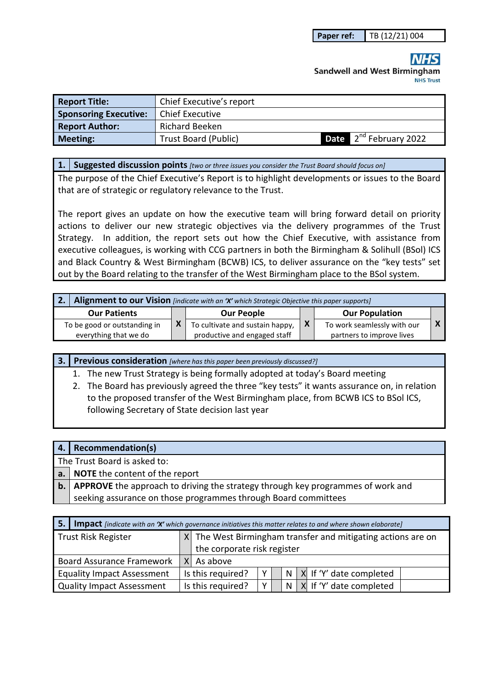# **Sandwell and West Birmingham NHS Trust**

| <b>Report Title:</b>         | Chief Executive's report    |                                           |
|------------------------------|-----------------------------|-------------------------------------------|
| <b>Sponsoring Executive:</b> | <b>Chief Executive</b>      |                                           |
| <b>Report Author:</b>        | <b>Richard Beeken</b>       |                                           |
| <b>Meeting:</b>              | <b>Trust Board (Public)</b> | ▲ 2 <sup>nd</sup> February 2022<br>Date I |

#### **1. Suggested discussion points** *[two or three issues you consider the Trust Board should focus on]*

The purpose of the Chief Executive's Report is to highlight developments or issues to the Board that are of strategic or regulatory relevance to the Trust.

The report gives an update on how the executive team will bring forward detail on priority actions to deliver our new strategic objectives via the delivery programmes of the Trust Strategy. In addition, the report sets out how the Chief Executive, with assistance from executive colleagues, is working with CCG partners in both the Birmingham & Solihull (BSol) ICS and Black Country & West Birmingham (BCWB) ICS, to deliver assurance on the "key tests" set out by the Board relating to the transfer of the West Birmingham place to the BSol system.

| $\overline{\mathbf{2}}$ . | Alignment to our Vision [indicate with an 'X' which Strategic Objective this paper supports] |  |                                 |   |                             |  |
|---------------------------|----------------------------------------------------------------------------------------------|--|---------------------------------|---|-----------------------------|--|
|                           | <b>Our Patients</b>                                                                          |  | <b>Our People</b>               |   | <b>Our Population</b>       |  |
|                           | To be good or outstanding in                                                                 |  | To cultivate and sustain happy, | X | To work seamlessly with our |  |
|                           | everything that we do                                                                        |  | productive and engaged staff    |   | partners to improve lives   |  |

1. The new Trust Strategy is being formally adopted at today's Board meeting

2. The Board has previously agreed the three "key tests" it wants assurance on, in relation to the proposed transfer of the West Birmingham place, from BCWB ICS to BSol ICS, following Secretary of State decision last year

|                | 4. Recommendation(s)                                                            |
|----------------|---------------------------------------------------------------------------------|
|                | The Trust Board is asked to:                                                    |
| a.             | <b>NOTE</b> the content of the report                                           |
| $\mathsf{b}$ . | APPROVE the approach to driving the strategy through key programmes of work and |
|                | seeking assurance on those programmes through Board committees                  |
|                |                                                                                 |

| 5.                                | <b>Impact</b> [indicate with an 'X' which governance initiatives this matter relates to and where shown elaborate] |                                                                |    |  |  |                                |
|-----------------------------------|--------------------------------------------------------------------------------------------------------------------|----------------------------------------------------------------|----|--|--|--------------------------------|
| <b>Trust Risk Register</b>        |                                                                                                                    | $X$ The West Birmingham transfer and mitigating actions are on |    |  |  |                                |
|                                   |                                                                                                                    | the corporate risk register                                    |    |  |  |                                |
| <b>Board Assurance Framework</b>  |                                                                                                                    | $X$ As above                                                   |    |  |  |                                |
| <b>Equality Impact Assessment</b> | Is this required?                                                                                                  |                                                                | Y. |  |  | $N$   X  If 'Y' date completed |
| <b>Quality Impact Assessment</b>  | Is this required?                                                                                                  |                                                                | v  |  |  | $N$   X  If 'Y' date completed |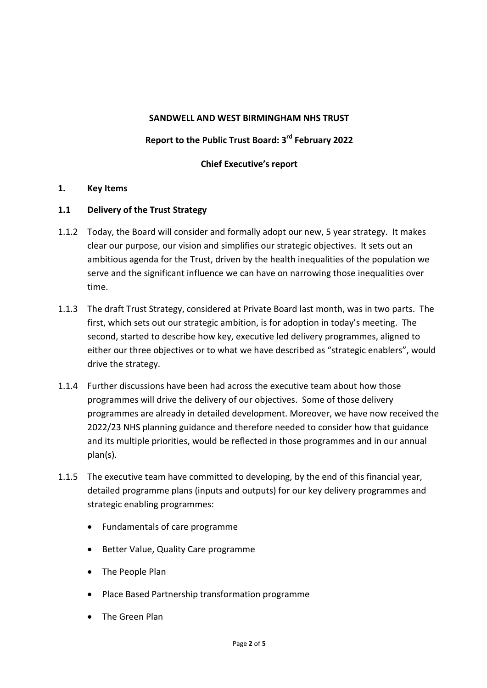#### **SANDWELL AND WEST BIRMINGHAM NHS TRUST**

# **Report to the Public Trust Board: 3rd February 2022**

# **Chief Executive's report**

#### **1. Key Items**

#### **1.1 Delivery of the Trust Strategy**

- 1.1.2 Today, the Board will consider and formally adopt our new, 5 year strategy. It makes clear our purpose, our vision and simplifies our strategic objectives. It sets out an ambitious agenda for the Trust, driven by the health inequalities of the population we serve and the significant influence we can have on narrowing those inequalities over time.
- 1.1.3 The draft Trust Strategy, considered at Private Board last month, was in two parts. The first, which sets out our strategic ambition, is for adoption in today's meeting. The second, started to describe how key, executive led delivery programmes, aligned to either our three objectives or to what we have described as "strategic enablers", would drive the strategy.
- 1.1.4 Further discussions have been had across the executive team about how those programmes will drive the delivery of our objectives. Some of those delivery programmes are already in detailed development. Moreover, we have now received the 2022/23 NHS planning guidance and therefore needed to consider how that guidance and its multiple priorities, would be reflected in those programmes and in our annual plan(s).
- 1.1.5 The executive team have committed to developing, by the end of this financial year, detailed programme plans (inputs and outputs) for our key delivery programmes and strategic enabling programmes:
	- Fundamentals of care programme
	- Better Value, Quality Care programme
	- The People Plan
	- Place Based Partnership transformation programme
	- The Green Plan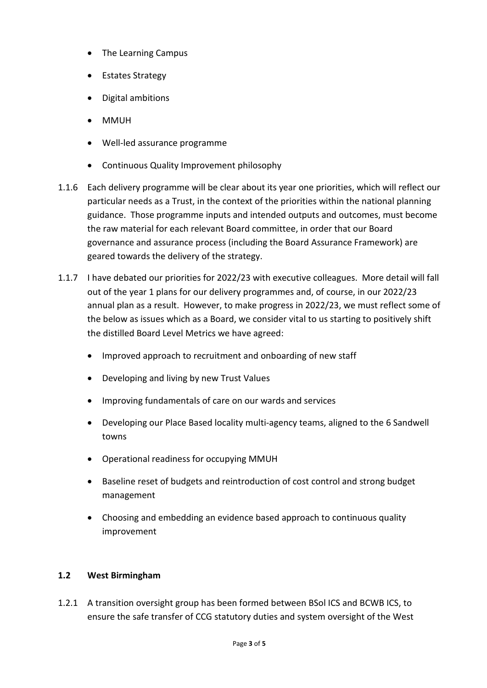- The Learning Campus
- Estates Strategy
- Digital ambitions
- MMUH
- Well-led assurance programme
- Continuous Quality Improvement philosophy
- 1.1.6 Each delivery programme will be clear about its year one priorities, which will reflect our particular needs as a Trust, in the context of the priorities within the national planning guidance. Those programme inputs and intended outputs and outcomes, must become the raw material for each relevant Board committee, in order that our Board governance and assurance process (including the Board Assurance Framework) are geared towards the delivery of the strategy.
- 1.1.7 I have debated our priorities for 2022/23 with executive colleagues. More detail will fall out of the year 1 plans for our delivery programmes and, of course, in our 2022/23 annual plan as a result. However, to make progress in 2022/23, we must reflect some of the below as issues which as a Board, we consider vital to us starting to positively shift the distilled Board Level Metrics we have agreed:
	- Improved approach to recruitment and onboarding of new staff
	- Developing and living by new Trust Values
	- Improving fundamentals of care on our wards and services
	- Developing our Place Based locality multi-agency teams, aligned to the 6 Sandwell towns
	- Operational readiness for occupying MMUH
	- Baseline reset of budgets and reintroduction of cost control and strong budget management
	- Choosing and embedding an evidence based approach to continuous quality improvement

# **1.2 West Birmingham**

1.2.1 A transition oversight group has been formed between BSol ICS and BCWB ICS, to ensure the safe transfer of CCG statutory duties and system oversight of the West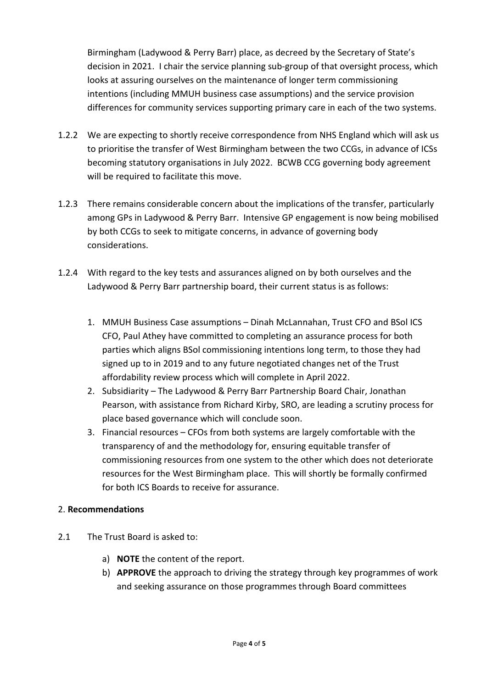Birmingham (Ladywood & Perry Barr) place, as decreed by the Secretary of State's decision in 2021. I chair the service planning sub-group of that oversight process, which looks at assuring ourselves on the maintenance of longer term commissioning intentions (including MMUH business case assumptions) and the service provision differences for community services supporting primary care in each of the two systems.

- 1.2.2 We are expecting to shortly receive correspondence from NHS England which will ask us to prioritise the transfer of West Birmingham between the two CCGs, in advance of ICSs becoming statutory organisations in July 2022. BCWB CCG governing body agreement will be required to facilitate this move.
- 1.2.3 There remains considerable concern about the implications of the transfer, particularly among GPs in Ladywood & Perry Barr. Intensive GP engagement is now being mobilised by both CCGs to seek to mitigate concerns, in advance of governing body considerations.
- 1.2.4 With regard to the key tests and assurances aligned on by both ourselves and the Ladywood & Perry Barr partnership board, their current status is as follows:
	- 1. MMUH Business Case assumptions Dinah McLannahan, Trust CFO and BSol ICS CFO, Paul Athey have committed to completing an assurance process for both parties which aligns BSol commissioning intentions long term, to those they had signed up to in 2019 and to any future negotiated changes net of the Trust affordability review process which will complete in April 2022.
	- 2. Subsidiarity The Ladywood & Perry Barr Partnership Board Chair, Jonathan Pearson, with assistance from Richard Kirby, SRO, are leading a scrutiny process for place based governance which will conclude soon.
	- 3. Financial resources CFOs from both systems are largely comfortable with the transparency of and the methodology for, ensuring equitable transfer of commissioning resources from one system to the other which does not deteriorate resources for the West Birmingham place. This will shortly be formally confirmed for both ICS Boards to receive for assurance.

# 2. **Recommendations**

- 2.1 The Trust Board is asked to:
	- a) **NOTE** the content of the report.
	- b) **APPROVE** the approach to driving the strategy through key programmes of work and seeking assurance on those programmes through Board committees